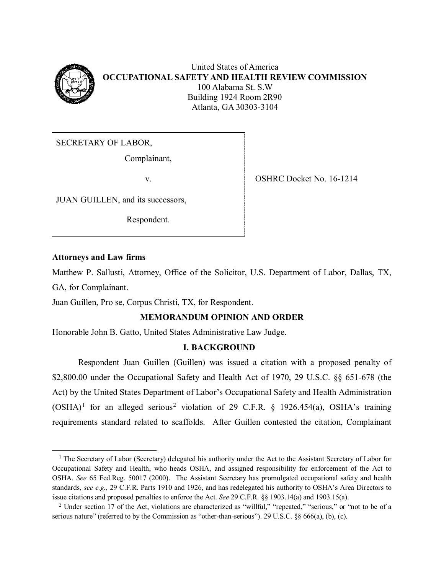

United States of America **OCCUPATIONAL SAFETY AND HEALTH REVIEW COMMISSION** 100 Alabama St. S.W Building 1924 Room 2R90 Atlanta, GA 30303-3104

SECRETARY OF LABOR,

Complainant,

JUAN GUILLEN, and its successors,

Respondent.

v. SHRC Docket No. 16-1214

## **Attorneys and Law firms**

 $\overline{\phantom{a}}$ 

Matthew P. Sallusti, Attorney, Office of the Solicitor, U.S. Department of Labor, Dallas, TX, GA, for Complainant.

Juan Guillen, Pro se, Corpus Christi, TX, for Respondent.

# **MEMORANDUM OPINION AND ORDER**

Honorable John B. Gatto, United States Administrative Law Judge.

# **I. BACKGROUND**

Respondent Juan Guillen (Guillen) was issued a citation with a proposed penalty of \$2,800.00 under the Occupational Safety and Health Act of 1970, 29 U.S.C. §§ 651-678 (the Act) by the United States Department of Labor's Occupational Safety and Health Administration  $(OSHA)^1$  $(OSHA)^1$  for an alleged serious<sup>[2](#page-0-1)</sup> violation of 29 C.F.R. § 1926.454(a), OSHA's training requirements standard related to scaffolds. After Guillen contested the citation, Complainant

<span id="page-0-0"></span><sup>&</sup>lt;sup>1</sup> The Secretary of Labor (Secretary) delegated his authority under the Act to the Assistant Secretary of Labor for Occupational Safety and Health, who heads OSHA, and assigned responsibility for enforcement of the Act to OSHA. *See* 65 Fed.Reg. 50017 (2000). The Assistant Secretary has promulgated occupational safety and health standards, *see e.g.*, 29 C.F.R. Parts 1910 and 1926, and has redelegated his authority to OSHA's Area Directors to issue citations and proposed penalties to enforce the Act. *See* 29 C.F.R. §§ 1903.14(a) and 1903.15(a).

<span id="page-0-1"></span><sup>&</sup>lt;sup>2</sup> Under section 17 of the Act, violations are characterized as "willful," "repeated," "serious," or "not to be of a serious nature" (referred to by the Commission as "other-than-serious"). 29 U.S.C. §§ 666(a), (b), (c).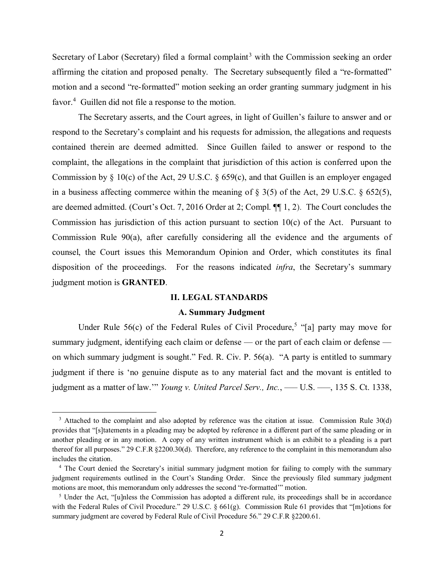Secretary of Labor (Secretary) filed a formal complaint<sup>[3](#page-1-0)</sup> with the Commission seeking an order affirming the citation and proposed penalty. The Secretary subsequently filed a "re-formatted" motion and a second "re-formatted" motion seeking an order granting summary judgment in his favor.<sup>[4](#page-1-1)</sup> Guillen did not file a response to the motion.

The Secretary asserts, and the Court agrees, in light of Guillen's failure to answer and or respond to the Secretary's complaint and his requests for admission, the allegations and requests contained therein are deemed admitted. Since Guillen failed to answer or respond to the complaint, the allegations in the complaint that jurisdiction of this action is conferred upon the Commission by § 10(c) of the Act, 29 U.S.C. § 659(c), and that Guillen is an employer engaged in a business affecting commerce within the meaning of  $\S$  3(5) of the Act, 29 U.S.C.  $\S$  652(5), are deemed admitted. (Court's Oct. 7, 2016 Order at 2; Compl. ¶¶ 1, 2). The Court concludes the Commission has jurisdiction of this action pursuant to section 10(c) of the Act. Pursuant to Commission Rule 90(a), after carefully considering all the evidence and the arguments of counsel, the Court issues this Memorandum Opinion and Order, which constitutes its final disposition of the proceedings. For the reasons indicated *infra*, the Secretary's summary judgment motion is **GRANTED**.

#### **II. LEGAL STANDARDS**

### **A. Summary Judgment**

Under Rule  $56(c)$  $56(c)$  of the Federal Rules of Civil Procedure,<sup>5</sup> "[a] party may move for summary judgment, identifying each claim or defense — or the part of each claim or defense on which summary judgment is sought." Fed. R. Civ. P. 56(a). "A party is entitled to summary judgment if there is 'no genuine dispute as to any material fact and the movant is entitled to judgment as a matter of law." *Young v. United Parcel Serv., Inc.*, — U.S. — , 135 S. Ct. 1338,

 $\overline{\phantom{a}}$ 

<span id="page-1-0"></span><sup>&</sup>lt;sup>3</sup> Attached to the complaint and also adopted by reference was the citation at issue. Commission Rule 30(d) provides that "[s]tatements in a pleading may be adopted by reference in a different part of the same pleading or in another pleading or in any motion. A copy of any written instrument which is an exhibit to a pleading is a part thereof for all purposes." 29 C.F.R §2200.30(d). Therefore, any reference to the complaint in this memorandum also includes the citation.

<span id="page-1-1"></span><sup>4</sup> The Court denied the Secretary's initial summary judgment motion for failing to comply with the summary judgment requirements outlined in the Court's Standing Order. Since the previously filed summary judgment motions are moot, this memorandum only addresses the second "re-formatted'" motion.

<span id="page-1-2"></span><sup>&</sup>lt;sup>5</sup> Under the Act, "[u]nless the Commission has adopted a different rule, its proceedings shall be in accordance with the Federal Rules of Civil Procedure." 29 U.S.C. § 661(g). Commission Rule 61 provides that "[m]otions for summary judgment are covered by Federal Rule of Civil Procedure 56." 29 C.F.R §2200.61.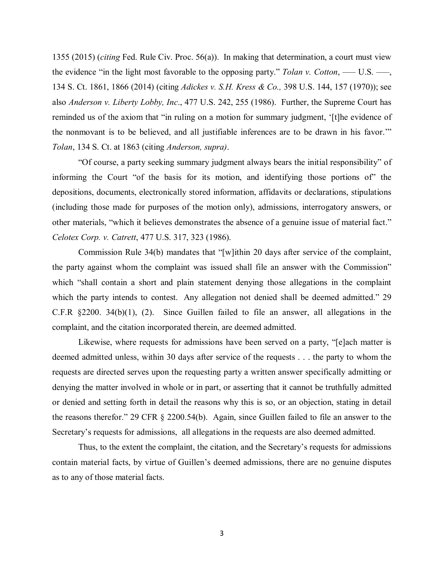1355 (2015) (*citing* Fed. Rule Civ. Proc. 56(a)). In making that determination, a court must view the evidence "in the light most favorable to the opposing party." *Tolan v. Cotton*, ––– U.S. –––, 134 S. Ct. 1861, 1866 (2014) (citing *Adickes v. S.H. Kress & Co.,* 398 U.S. 144, 157 (1970)); see also *Anderson v. Liberty Lobby, Inc*., 477 U.S. 242, 255 (1986). Further, the Supreme Court has reminded us of the axiom that "in ruling on a motion for summary judgment, '[t]he evidence of the nonmovant is to be believed, and all justifiable inferences are to be drawn in his favor.'" *Tolan*, 134 S. Ct. at 1863 (citing *Anderson, supra)*.

"Of course, a party seeking summary judgment always bears the initial responsibility" of informing the Court "of the basis for its motion, and identifying those portions of" the depositions, documents, electronically stored information, affidavits or declarations, stipulations (including those made for purposes of the motion only), admissions, interrogatory answers, or other materials, "which it believes demonstrates the absence of a genuine issue of material fact." *Celotex Corp. v. Catrett*, 477 U.S. 317, 323 (1986).

Commission Rule 34(b) mandates that "[w]ithin 20 days after service of the complaint, the party against whom the complaint was issued shall file an answer with the Commission" which "shall contain a short and plain statement denying those allegations in the complaint which the party intends to contest. Any allegation not denied shall be deemed admitted." 29 C.F.R §2200. 34(b)(1), (2). Since Guillen failed to file an answer, all allegations in the complaint, and the citation incorporated therein, are deemed admitted.

Likewise, where requests for admissions have been served on a party, "[e]ach matter is deemed admitted unless, within 30 days after service of the requests . . . the party to whom the requests are directed serves upon the requesting party a written answer specifically admitting or denying the matter involved in whole or in part, or asserting that it cannot be truthfully admitted or denied and setting forth in detail the reasons why this is so, or an objection, stating in detail the reasons therefor." 29 CFR § 2200.54(b). Again, since Guillen failed to file an answer to the Secretary's requests for admissions, all allegations in the requests are also deemed admitted.

Thus, to the extent the complaint, the citation, and the Secretary's requests for admissions contain material facts, by virtue of Guillen's deemed admissions, there are no genuine disputes as to any of those material facts.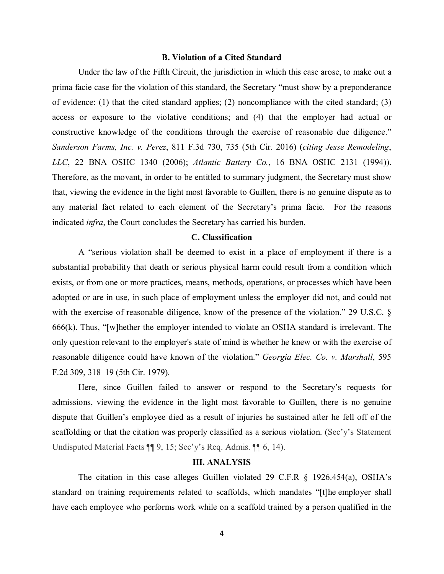#### **B. Violation of a Cited Standard**

Under the law of the Fifth Circuit, the jurisdiction in which this case arose, to make out a prima facie case for the violation of this standard, the Secretary "must show by a preponderance of evidence: (1) that the cited standard applies; (2) noncompliance with the cited standard; (3) access or exposure to the violative conditions; and (4) that the employer had actual or constructive knowledge of the conditions through the exercise of reasonable due diligence." *Sanderson Farms, Inc. v. Perez*, 811 F.3d 730, 735 (5th Cir. 2016) (*citing Jesse Remodeling*, *LLC*, 22 BNA OSHC 1340 (2006); *Atlantic Battery Co.*, 16 BNA OSHC 2131 (1994)). Therefore, as the movant, in order to be entitled to summary judgment, the Secretary must show that, viewing the evidence in the light most favorable to Guillen, there is no genuine dispute as to any material fact related to each element of the Secretary's prima facie. For the reasons indicated *infra*, the Court concludes the Secretary has carried his burden.

### **C. Classification**

A "serious violation shall be deemed to exist in a place of employment if there is a substantial probability that death or serious physical harm could result from a condition which exists, or from one or more practices, means, methods, operations, or processes which have been adopted or are in use, in such place of employment unless the employer did not, and could not with the exercise of reasonable diligence, know of the presence of the violation." 29 U.S.C. § 666(k). Thus, "[w]hether the employer intended to violate an OSHA standard is irrelevant. The only question relevant to the employer's state of mind is whether he knew or with the exercise of reasonable diligence could have known of the violation." *Georgia Elec. Co. v. Marshall*, 595 F.2d 309, 318–19 (5th Cir. 1979).

Here, since Guillen failed to answer or respond to the Secretary's requests for admissions, viewing the evidence in the light most favorable to Guillen, there is no genuine dispute that Guillen's employee died as a result of injuries he sustained after he fell off of the scaffolding or that the citation was properly classified as a serious violation. (Sec'y's Statement Undisputed Material Facts  $\P\P$  9, 15; Sec'y's Req. Admis.  $\P\P$  6, 14).

### **III. ANALYSIS**

The citation in this case alleges Guillen violated 29 C.F.R § 1926.454(a), OSHA's standard on training requirements related to scaffolds, which mandates "[t]he employer shall have each employee who performs work while on a scaffold trained by a person qualified in the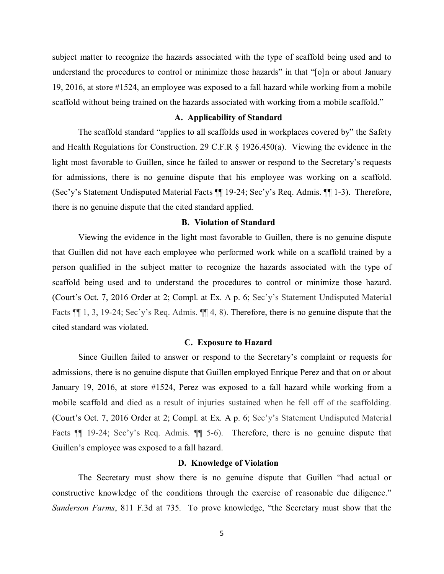subject matter to recognize the hazards associated with the type of scaffold being used and to understand the procedures to control or minimize those hazards" in that "[o]n or about January 19, 2016, at store #1524, an employee was exposed to a fall hazard while working from a mobile scaffold without being trained on the hazards associated with working from a mobile scaffold."

#### **A. Applicability of Standard**

The scaffold standard "applies to all scaffolds used in workplaces covered by" the Safety and Health Regulations for Construction. 29 C.F.R § 1926.450(a). Viewing the evidence in the light most favorable to Guillen, since he failed to answer or respond to the Secretary's requests for admissions, there is no genuine dispute that his employee was working on a scaffold. (Sec'y's Statement Undisputed Material Facts ¶¶ 19-24; Sec'y's Req. Admis. ¶¶ 1-3). Therefore, there is no genuine dispute that the cited standard applied.

#### **B. Violation of Standard**

Viewing the evidence in the light most favorable to Guillen, there is no genuine dispute that Guillen did not have each employee who performed work while on a scaffold trained by a person qualified in the subject matter to recognize the hazards associated with the type of scaffold being used and to understand the procedures to control or minimize those hazard. (Court's Oct. 7, 2016 Order at 2; Compl. at Ex. A p. 6; Sec'y's Statement Undisputed Material Facts  $\P\P$  1, 3, 19-24; Sec'y's Req. Admis.  $\P\P$  4, 8). Therefore, there is no genuine dispute that the cited standard was violated.

#### **C. Exposure to Hazard**

Since Guillen failed to answer or respond to the Secretary's complaint or requests for admissions, there is no genuine dispute that Guillen employed Enrique Perez and that on or about January 19, 2016, at store #1524, Perez was exposed to a fall hazard while working from a mobile scaffold and died as a result of injuries sustained when he fell off of the scaffolding. (Court's Oct. 7, 2016 Order at 2; Compl. at Ex. A p. 6; Sec'y's Statement Undisputed Material Facts  $\P$  19-24; Sec'y's Req. Admis.  $\P$  5-6). Therefore, there is no genuine dispute that Guillen's employee was exposed to a fall hazard.

#### **D. Knowledge of Violation**

The Secretary must show there is no genuine dispute that Guillen "had actual or constructive knowledge of the conditions through the exercise of reasonable due diligence." *Sanderson Farms*, 811 F.3d at 735. To prove knowledge, "the Secretary must show that the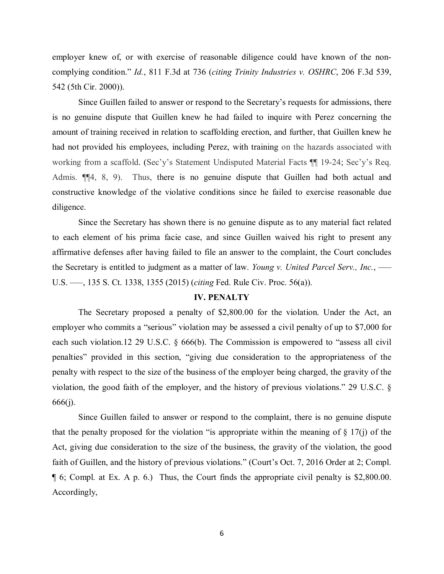employer knew of, or with exercise of reasonable diligence could have known of the noncomplying condition." *Id.*, 811 F.3d at 736 (*citing Trinity Industries v. OSHRC*, 206 F.3d 539, 542 (5th Cir. 2000)).

Since Guillen failed to answer or respond to the Secretary's requests for admissions, there is no genuine dispute that Guillen knew he had failed to inquire with Perez concerning the amount of training received in relation to scaffolding erection, and further, that Guillen knew he had not provided his employees, including Perez, with training on the hazards associated with working from a scaffold. (Sec'y's Statement Undisputed Material Facts ¶¶ 19-24; Sec'y's Req. Admis. ¶¶4, 8, 9). Thus, there is no genuine dispute that Guillen had both actual and constructive knowledge of the violative conditions since he failed to exercise reasonable due diligence.

Since the Secretary has shown there is no genuine dispute as to any material fact related to each element of his prima facie case, and since Guillen waived his right to present any affirmative defenses after having failed to file an answer to the complaint, the Court concludes the Secretary is entitled to judgment as a matter of law. *Young v. United Parcel Serv., Inc.*, ––– U.S. –––, 135 S. Ct. 1338, 1355 (2015) (*citing* Fed. Rule Civ. Proc. 56(a)).

#### **IV. PENALTY**

The Secretary proposed a penalty of \$2,800.00 for the violation. Under the Act, an employer who commits a "serious" violation may be assessed a civil penalty of up to \$7,000 for each such violation.12 29 U.S.C. § 666(b). The Commission is empowered to "assess all civil penalties" provided in this section, "giving due consideration to the appropriateness of the penalty with respect to the size of the business of the employer being charged, the gravity of the violation, the good faith of the employer, and the history of previous violations." 29 U.S.C. § 666(j).

Since Guillen failed to answer or respond to the complaint, there is no genuine dispute that the penalty proposed for the violation "is appropriate within the meaning of  $\S$  17(j) of the Act, giving due consideration to the size of the business, the gravity of the violation, the good faith of Guillen, and the history of previous violations." (Court's Oct. 7, 2016 Order at 2; Compl. ¶ 6; Compl. at Ex. A p. 6.) Thus, the Court finds the appropriate civil penalty is \$2,800.00. Accordingly,